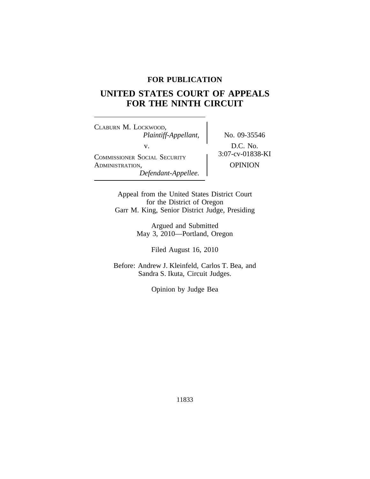# **FOR PUBLICATION**

# **UNITED STATES COURT OF APPEALS FOR THE NINTH CIRCUIT**

<sup>C</sup>LABURN M. LOCKWOOD, *Plaintiff-Appellant,* No. 09-35546 v.<br>
COMMISSIONER SOCIAL SECURITY 3:07-cv-01838-KI ADMINISTRATION, OPINION *Defendant-Appellee.*

Appeal from the United States District Court for the District of Oregon Garr M. King, Senior District Judge, Presiding

> Argued and Submitted May 3, 2010—Portland, Oregon

> > Filed August 16, 2010

Before: Andrew J. Kleinfeld, Carlos T. Bea, and Sandra S. Ikuta, Circuit Judges.

Opinion by Judge Bea

11833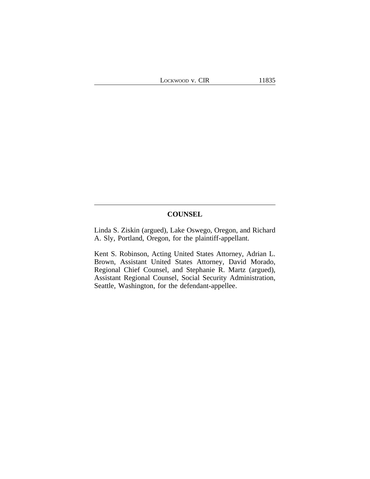# **COUNSEL**

Linda S. Ziskin (argued), Lake Oswego, Oregon, and Richard A. Sly, Portland, Oregon, for the plaintiff-appellant.

Kent S. Robinson, Acting United States Attorney, Adrian L. Brown, Assistant United States Attorney, David Morado, Regional Chief Counsel, and Stephanie R. Martz (argued), Assistant Regional Counsel, Social Security Administration, Seattle, Washington, for the defendant-appellee.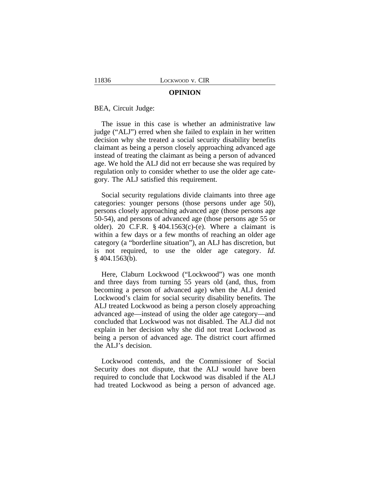#### **OPINION**

BEA, Circuit Judge:

The issue in this case is whether an administrative law judge ("ALJ") erred when she failed to explain in her written decision why she treated a social security disability benefits claimant as being a person closely approaching advanced age instead of treating the claimant as being a person of advanced age. We hold the ALJ did not err because she was required by regulation only to consider whether to use the older age category. The ALJ satisfied this requirement.

Social security regulations divide claimants into three age categories: younger persons (those persons under age 50), persons closely approaching advanced age (those persons age 50-54), and persons of advanced age (those persons age 55 or older). 20 C.F.R.  $\S$  404.1563(c)-(e). Where a claimant is within a few days or a few months of reaching an older age category (a "borderline situation"), an ALJ has discretion, but is not required, to use the older age category. *Id.* § 404.1563(b).

Here, Claburn Lockwood ("Lockwood") was one month and three days from turning 55 years old (and, thus, from becoming a person of advanced age) when the ALJ denied Lockwood's claim for social security disability benefits. The ALJ treated Lockwood as being a person closely approaching advanced age—instead of using the older age category—and concluded that Lockwood was not disabled. The ALJ did not explain in her decision why she did not treat Lockwood as being a person of advanced age. The district court affirmed the ALJ's decision.

Lockwood contends, and the Commissioner of Social Security does not dispute, that the ALJ would have been required to conclude that Lockwood was disabled if the ALJ had treated Lockwood as being a person of advanced age.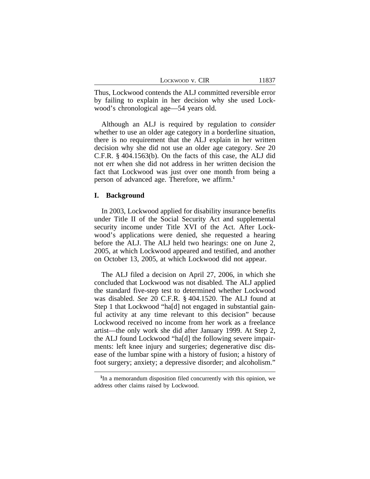| LOCKWOOD V. CIR | 11837 |
|-----------------|-------|
|-----------------|-------|

Thus, Lockwood contends the ALJ committed reversible error by failing to explain in her decision why she used Lockwood's chronological age—54 years old.

Although an ALJ is required by regulation to *consider* whether to use an older age category in a borderline situation, there is no requirement that the ALJ explain in her written decision why she did not use an older age category. *See* 20 C.F.R. § 404.1563(b). On the facts of this case, the ALJ did not err when she did not address in her written decision the fact that Lockwood was just over one month from being a person of advanced age. Therefore, we affirm.**<sup>1</sup>**

## **I. Background**

In 2003, Lockwood applied for disability insurance benefits under Title II of the Social Security Act and supplemental security income under Title XVI of the Act. After Lockwood's applications were denied, she requested a hearing before the ALJ. The ALJ held two hearings: one on June 2, 2005, at which Lockwood appeared and testified, and another on October 13, 2005, at which Lockwood did not appear.

The ALJ filed a decision on April 27, 2006, in which she concluded that Lockwood was not disabled. The ALJ applied the standard five-step test to determined whether Lockwood was disabled. *See* 20 C.F.R. § 404.1520. The ALJ found at Step 1 that Lockwood "ha[d] not engaged in substantial gainful activity at any time relevant to this decision" because Lockwood received no income from her work as a freelance artist—the only work she did after January 1999. At Step 2, the ALJ found Lockwood "ha[d] the following severe impairments: left knee injury and surgeries; degenerative disc disease of the lumbar spine with a history of fusion; a history of foot surgery; anxiety; a depressive disorder; and alcoholism."

**<sup>1</sup>** In a memorandum disposition filed concurrently with this opinion, we address other claims raised by Lockwood.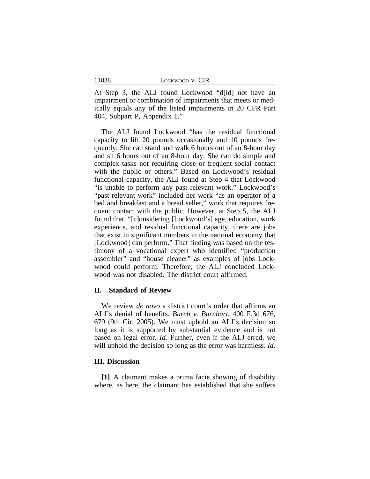| LOCKWOOD V. CIR |  |  |
|-----------------|--|--|
|-----------------|--|--|

At Step 3, the ALJ found Lockwood "d[id] not have an impairment or combination of impairments that meets or medically equals any of the listed impairments in 20 CFR Part 404, Subpart P, Appendix 1."

The ALJ found Lockwood "has the residual functional capacity to lift 20 pounds occasionally and 10 pounds frequently. She can stand and walk 6 hours out of an 8-hour day and sit 6 hours out of an 8-hour day. She can do simple and complex tasks not requiring close or frequent social contact with the public or others." Based on Lockwood's residual functional capacity, the ALJ found at Step 4 that Lockwood "is unable to perform any past relevant work." Lockwood's "past relevant work" included her work "as an operator of a bed and breakfast and a bread seller," work that requires frequent contact with the public. However, at Step 5, the ALJ found that, "[c]onsidering [Lockwood's] age, education, work experience, and residual functional capacity, there are jobs that exist in significant numbers in the national economy that [Lockwood] can perform." That finding was based on the testimony of a vocational expert who identified "production assembler" and "house cleaner" as examples of jobs Lockwood could perform. Therefore, the ALJ concluded Lockwood was not disabled. The district court affirmed.

## **II. Standard of Review**

We review *de novo* a district court's order that affirms an ALJ's denial of benefits. *Burch v. Barnhart*, 400 F.3d 676, 679 (9th Cir. 2005). We must uphold an ALJ's decision so long as it is supported by substantial evidence and is not based on legal error. *Id.* Further, even if the ALJ erred, we will uphold the decision so long as the error was harmless. *Id.*

#### **III. Discussion**

**[1]** A claimant makes a prima facie showing of disability where, as here, the claimant has established that she suffers

11838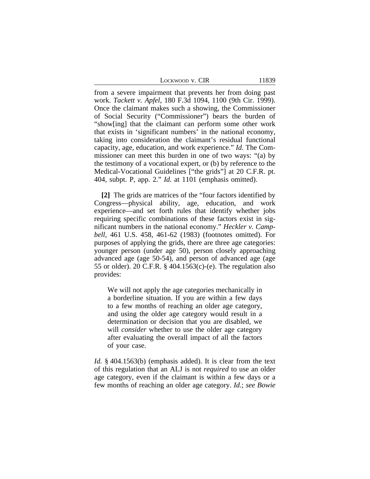| Lockwood v. CIR | 11839 |
|-----------------|-------|
|-----------------|-------|

from a severe impairment that prevents her from doing past work. *Tackett v. Apfel*, 180 F.3d 1094, 1100 (9th Cir. 1999). Once the claimant makes such a showing, the Commissioner of Social Security ("Commissioner") bears the burden of "show[ing] that the claimant can perform some other work that exists in 'significant numbers' in the national economy, taking into consideration the claimant's residual functional capacity, age, education, and work experience." *Id.* The Commissioner can meet this burden in one of two ways: "(a) by the testimony of a vocational expert, or (b) by reference to the Medical-Vocational Guidelines ["the grids"] at 20 C.F.R. pt. 404, subpt. P, app. 2." *Id.* at 1101 (emphasis omitted).

**[2]** The grids are matrices of the "four factors identified by Congress—physical ability, age, education, and work experience—and set forth rules that identify whether jobs requiring specific combinations of these factors exist in significant numbers in the national economy." *Heckler v. Campbell*, 461 U.S. 458, 461-62 (1983) (footnotes omitted). For purposes of applying the grids, there are three age categories: younger person (under age 50), person closely approaching advanced age (age 50-54), and person of advanced age (age 55 or older). 20 C.F.R. § 404.1563(c)-(e). The regulation also provides:

We will not apply the age categories mechanically in a borderline situation. If you are within a few days to a few months of reaching an older age category, and using the older age category would result in a determination or decision that you are disabled, we will *consider* whether to use the older age category after evaluating the overall impact of all the factors of your case.

*Id.* § 404.1563(b) (emphasis added). It is clear from the text of this regulation that an ALJ is not *required* to use an older age category, even if the claimant is within a few days or a few months of reaching an older age category. *Id.*; *see Bowie*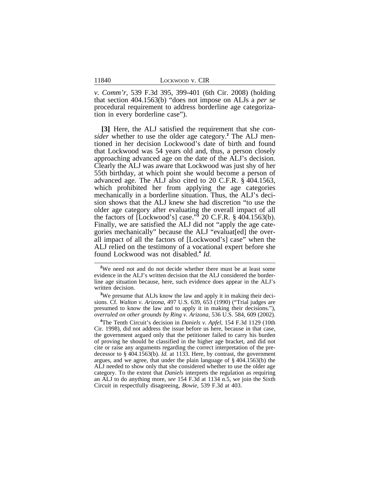*v. Comm'r*, 539 F.3d 395, 399-401 (6th Cir. 2008) (holding that section 404.1563(b) "does not impose on ALJs a *per se* procedural requirement to address borderline age categorization in every borderline case").

**[3]** Here, the ALJ satisfied the requirement that she *consider* whether to use the older age category.**<sup>2</sup>** The ALJ mentioned in her decision Lockwood's date of birth and found that Lockwood was 54 years old and, thus, a person closely approaching advanced age on the date of the ALJ's decision. Clearly the ALJ was aware that Lockwood was just shy of her 55th birthday, at which point she would become a person of advanced age. The ALJ also cited to 20 C.F.R. § 404.1563, which prohibited her from applying the age categories mechanically in a borderline situation. Thus, the ALJ's decision shows that the ALJ knew she had discretion "to use the older age category after evaluating the overall impact of all the factors of [Lockwood's] case." **3** 20 C.F.R. § 404.1563(b). Finally, we are satisfied the ALJ did not "apply the age categories mechanically" because the ALJ "evaluat[ed] the overall impact of all the factors of [Lockwood's] case" when the ALJ relied on the testimony of a vocational expert before she found Lockwood was not disabled.**<sup>4</sup>** *Id.*

**<sup>3</sup>**We presume that ALJs know the law and apply it in making their decisions. Cf. *Walton v. Arizona*, 497 U.S. 639, 653 (1990) ("Trial judges are presumed to know the law and to apply it in making their decisions."), *overruled on other grounds by Ring v. Arizona*, 536 U.S. 584, 609 (2002).

**<sup>4</sup>**The Tenth Circuit's decision in *Daniels v. Apfel*, 154 F.3d 1129 (10th Cir. 1998), did not address the issue before us here, because in that case, the government argued only that the petitioner failed to carry his burden of proving he should be classified in the higher age bracket, and did not cite or raise any arguments regarding the correct interpretation of the predecessor to § 404.1563(b). *Id.* at 1133. Here, by contrast, the government argues, and we agree, that under the plain language of § 404.1563(b) the ALJ needed to show only that she considered whether to use the older age category. To the extent that *Daniels* interprets the regulation as requiring an ALJ to do anything more, *see* 154 F.3d at 1134 n.5, we join the Sixth Circuit in respectfully disagreeing, *Bowie*, 539 F.3d at 403.

<sup>&</sup>lt;sup>2</sup>We need not and do not decide whether there must be at least some evidence in the ALJ's written decision that the ALJ considered the borderline age situation because, here, such evidence does appear in the ALJ's written decision.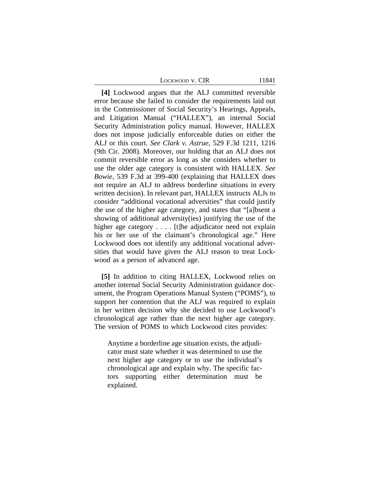LOCKWOOD V. CIR 11841

**[4]** Lockwood argues that the ALJ committed reversible error because she failed to consider the requirements laid out in the Commissioner of Social Security's Hearings, Appeals, and Litigation Manual ("HALLEX"), an internal Social Security Administration policy manual. However, HALLEX does not impose judicially enforceable duties on either the ALJ or this court. *See Clark v. Astrue*, 529 F.3d 1211, 1216 (9th Cir. 2008). Moreover, our holding that an ALJ does not commit reversible error as long as she considers whether to use the older age category is consistent with HALLEX. *See Bowie*, 539 F.3d at 399-400 (explaining that HALLEX does not require an ALJ to address borderline situations in every written decision). In relevant part, HALLEX instructs ALJs to consider "additional vocational adversities" that could justify the use of the higher age category, and states that "[a]bsent a showing of additional adversity(ies) justifying the use of the higher age category . . . . [t]he adjudicator need not explain his or her use of the claimant's chronological age." Here Lockwood does not identify any additional vocational adversities that would have given the ALJ reason to treat Lockwood as a person of advanced age.

**[5]** In addition to citing HALLEX, Lockwood relies on another internal Social Security Administration guidance document, the Program Operations Manual System ("POMS"), to support her contention that the ALJ was required to explain in her written decision why she decided to use Lockwood's chronological age rather than the next higher age category. The version of POMS to which Lockwood cites provides:

Anytime a borderline age situation exists, the adjudicator must state whether it was determined to use the next higher age category or to use the individual's chronological age and explain why. The specific factors supporting either determination must be explained.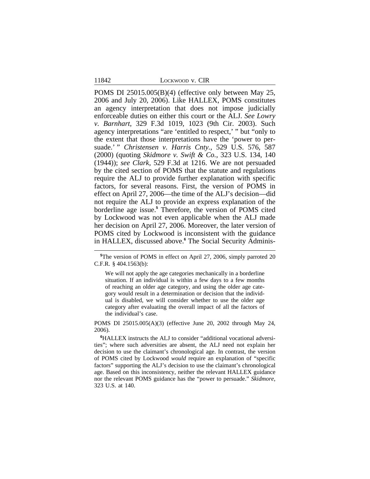11842 LOCKWOOD v. CIR

POMS DI 25015.005(B)(4) (effective only between May 25, 2006 and July 20, 2006). Like HALLEX, POMS constitutes an agency interpretation that does not impose judicially enforceable duties on either this court or the ALJ. *See Lowry v. Barnhart*, 329 F.3d 1019, 1023 (9th Cir. 2003). Such agency interpretations "are 'entitled to respect,' " but "only to the extent that those interpretations have the 'power to persuade.' " *Christensen v. Harris Cnty.*, 529 U.S. 576, 587 (2000) (quoting *Skidmore v. Swift & Co.*, 323 U.S. 134, 140 (1944)); *see Clark*, 529 F.3d at 1216. We are not persuaded by the cited section of POMS that the statute and regulations require the ALJ to provide further explanation with specific factors, for several reasons. First, the version of POMS in effect on April 27, 2006—the time of the ALJ's decision—did not require the ALJ to provide an express explanation of the borderline age issue.**<sup>5</sup>** Therefore, the version of POMS cited by Lockwood was not even applicable when the ALJ made her decision on April 27, 2006. Moreover, the later version of POMS cited by Lockwood is inconsistent with the guidance in HALLEX, discussed above.**<sup>6</sup>** The Social Security Adminis-

POMS DI 25015.005(A)(3) (effective June 20, 2002 through May 24, 2006).

**<sup>6</sup>**HALLEX instructs the ALJ to consider "additional vocational adversities"; where such adversities are absent, the ALJ need not explain her decision to use the claimant's chronological age. In contrast, the version of POMS cited by Lockwood *would* require an explanation of "specific factors" supporting the ALJ's decision to use the claimant's chronological age. Based on this inconsistency, neither the relevant HALLEX guidance nor the relevant POMS guidance has the "power to persuade." *Skidmore*, 323 U.S. at 140.

**<sup>5</sup>**The version of POMS in effect on April 27, 2006, simply parroted 20 C.F.R. § 404.1563(b):

We will not apply the age categories mechanically in a borderline situation. If an individual is within a few days to a few months of reaching an older age category, and using the older age category would result in a determination or decision that the individual is disabled, we will consider whether to use the older age category after evaluating the overall impact of all the factors of the individual's case.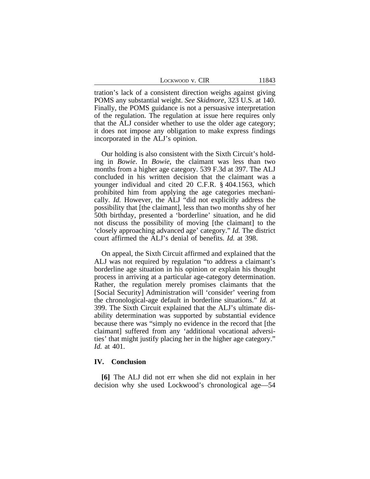LOCKWOOD V. CIR 11843

tration's lack of a consistent direction weighs against giving POMS any substantial weight. *See Skidmore*, 323 U.S. at 140. Finally, the POMS guidance is not a persuasive interpretation of the regulation. The regulation at issue here requires only that the ALJ consider whether to use the older age category; it does not impose any obligation to make express findings incorporated in the ALJ's opinion.

Our holding is also consistent with the Sixth Circuit's holding in *Bowie*. In *Bowie*, the claimant was less than two months from a higher age category. 539 F.3d at 397. The ALJ concluded in his written decision that the claimant was a younger individual and cited 20 C.F.R. § 404.1563, which prohibited him from applying the age categories mechanically. *Id.* However, the ALJ "did not explicitly address the possibility that [the claimant], less than two months shy of her 50th birthday, presented a 'borderline' situation, and he did not discuss the possibility of moving [the claimant] to the 'closely approaching advanced age' category." *Id.* The district court affirmed the ALJ's denial of benefits. *Id.* at 398.

On appeal, the Sixth Circuit affirmed and explained that the ALJ was not required by regulation "to address a claimant's borderline age situation in his opinion or explain his thought process in arriving at a particular age-category determination. Rather, the regulation merely promises claimants that the [Social Security] Administration will 'consider' veering from the chronological-age default in borderline situations." *Id.* at 399. The Sixth Circuit explained that the ALJ's ultimate disability determination was supported by substantial evidence because there was "simply no evidence in the record that [the claimant] suffered from any 'additional vocational adversities' that might justify placing her in the higher age category." *Id.* at 401.

#### **IV. Conclusion**

**[6]** The ALJ did not err when she did not explain in her decision why she used Lockwood's chronological age—54